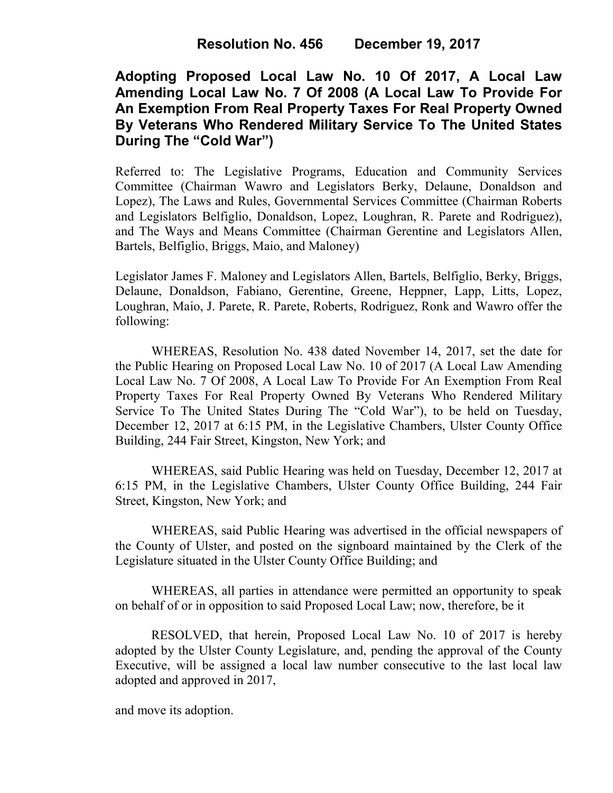## **Adopting Proposed Local Law No. 10 Of 2017, A Local Law Amending Local Law No. 7 Of 2008 (A Local Law To Provide For An Exemption From Real Property Taxes For Real Property Owned By Veterans Who Rendered Military Service To The United States During The "Cold War")**

Referred to: The Legislative Programs, Education and Community Services Committee (Chairman Wawro and Legislators Berky, Delaune, Donaldson and Lopez), The Laws and Rules, Governmental Services Committee (Chairman Roberts and Legislators Belfiglio, Donaldson, Lopez, Loughran, R. Parete and Rodriguez), and The Ways and Means Committee (Chairman Gerentine and Legislators Allen, Bartels, Belfiglio, Briggs, Maio, and Maloney)

Legislator James F. Maloney and Legislators Allen, Bartels, Belfiglio, Berky, Briggs, Delaune, Donaldson, Fabiano, Gerentine, Greene, Heppner, Lapp, Litts, Lopez, Loughran, Maio, J. Parete, R. Parete, Roberts, Rodriguez, Ronk and Wawro offer the following:

WHEREAS, Resolution No. 438 dated November 14, 2017, set the date for the Public Hearing on Proposed Local Law No. 10 of 2017 (A Local Law Amending Local Law No. 7 Of 2008, A Local Law To Provide For An Exemption From Real Property Taxes For Real Property Owned By Veterans Who Rendered Military Service To The United States During The "Cold War"), to be held on Tuesday, December 12, 2017 at 6:15 PM, in the Legislative Chambers, Ulster County Office Building, 244 Fair Street, Kingston, New York; and

WHEREAS, said Public Hearing was held on Tuesday, December 12, 2017 at 6:15 PM, in the Legislative Chambers, Ulster County Office Building, 244 Fair Street, Kingston, New York; and

WHEREAS, said Public Hearing was advertised in the official newspapers of the County of Ulster, and posted on the signboard maintained by the Clerk of the Legislature situated in the Ulster County Office Building; and

 WHEREAS, all parties in attendance were permitted an opportunity to speak on behalf of or in opposition to said Proposed Local Law; now, therefore, be it

RESOLVED, that herein, Proposed Local Law No. 10 of 2017 is hereby adopted by the Ulster County Legislature, and, pending the approval of the County Executive, will be assigned a local law number consecutive to the last local law adopted and approved in 2017,

and move its adoption.